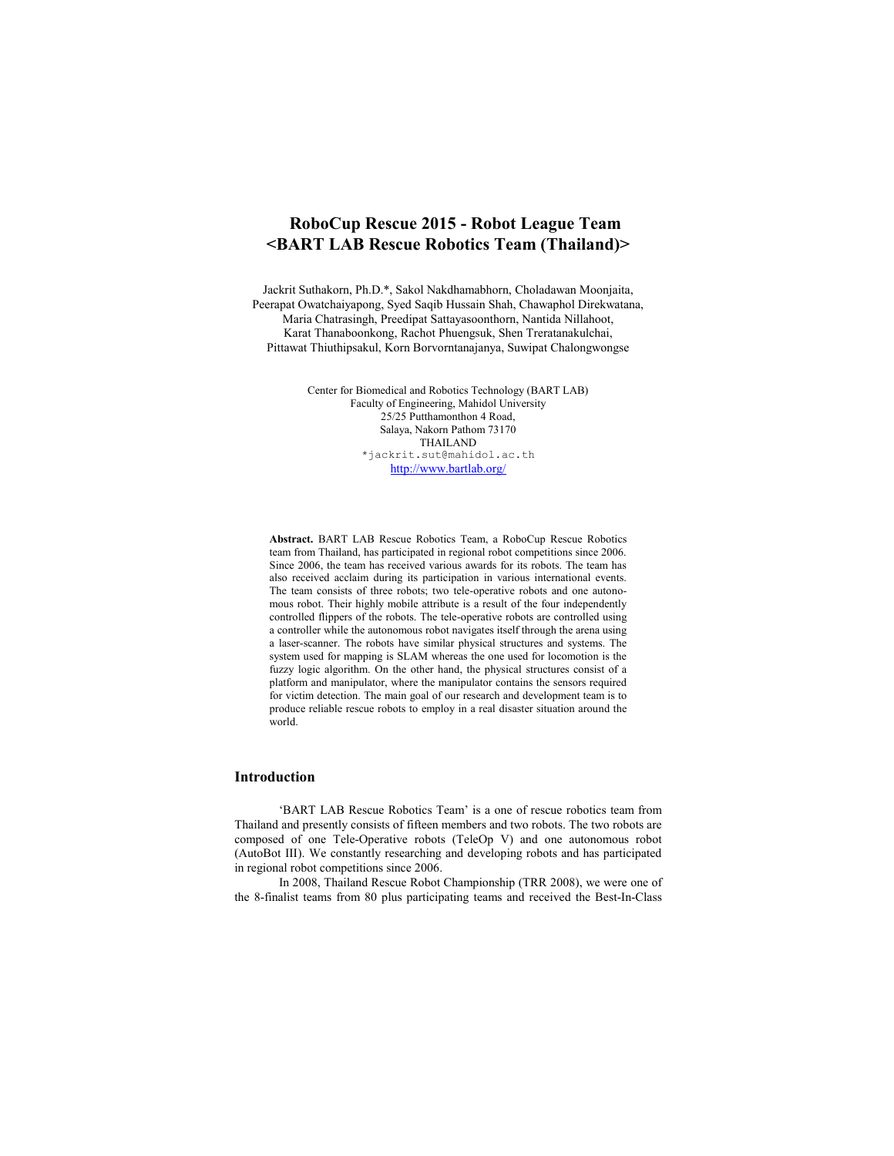# **RoboCup Rescue 2015 - Robot League Team <BART LAB Rescue Robotics Team (Thailand)>**

Jackrit Suthakorn, Ph.D.\*, Sakol Nakdhamabhorn, Choladawan Moonjaita, Peerapat Owatchaiyapong, Syed Saqib Hussain Shah, Chawaphol Direkwatana, Maria Chatrasingh, Preedipat Sattayasoonthorn, Nantida Nillahoot, Karat Thanaboonkong, Rachot Phuengsuk, Shen Treratanakulchai, Pittawat Thiuthipsakul, Korn Borvorntanajanya, Suwipat Chalongwongse

> Center for Biomedical and Robotics Technology (BART LAB) Faculty of Engineering, Mahidol University 25/25 Putthamonthon 4 Road, Salaya, Nakorn Pathom 73170 THAILAND \*jackrit.sut@mahidol.ac.th http://www.bartlab.org/

**Abstract.** BART LAB Rescue Robotics Team, a RoboCup Rescue Robotics team from Thailand, has participated in regional robot competitions since 2006. Since 2006, the team has received various awards for its robots. The team has also received acclaim during its participation in various international events. The team consists of three robots; two tele-operative robots and one autonomous robot. Their highly mobile attribute is a result of the four independently controlled flippers of the robots. The tele-operative robots are controlled using a controller while the autonomous robot navigates itself through the arena using a laser-scanner. The robots have similar physical structures and systems. The system used for mapping is SLAM whereas the one used for locomotion is the fuzzy logic algorithm. On the other hand, the physical structures consist of a platform and manipulator, where the manipulator contains the sensors required for victim detection. The main goal of our research and development team is to produce reliable rescue robots to employ in a real disaster situation around the world.

#### **Introduction**

'BART LAB Rescue Robotics Team' is a one of rescue robotics team from Thailand and presently consists of fifteen members and two robots. The two robots are composed of one Tele-Operative robots (TeleOp V) and one autonomous robot (AutoBot III). We constantly researching and developing robots and has participated in regional robot competitions since 2006.

In 2008, Thailand Rescue Robot Championship (TRR 2008), we were one of the 8-finalist teams from 80 plus participating teams and received the Best-In-Class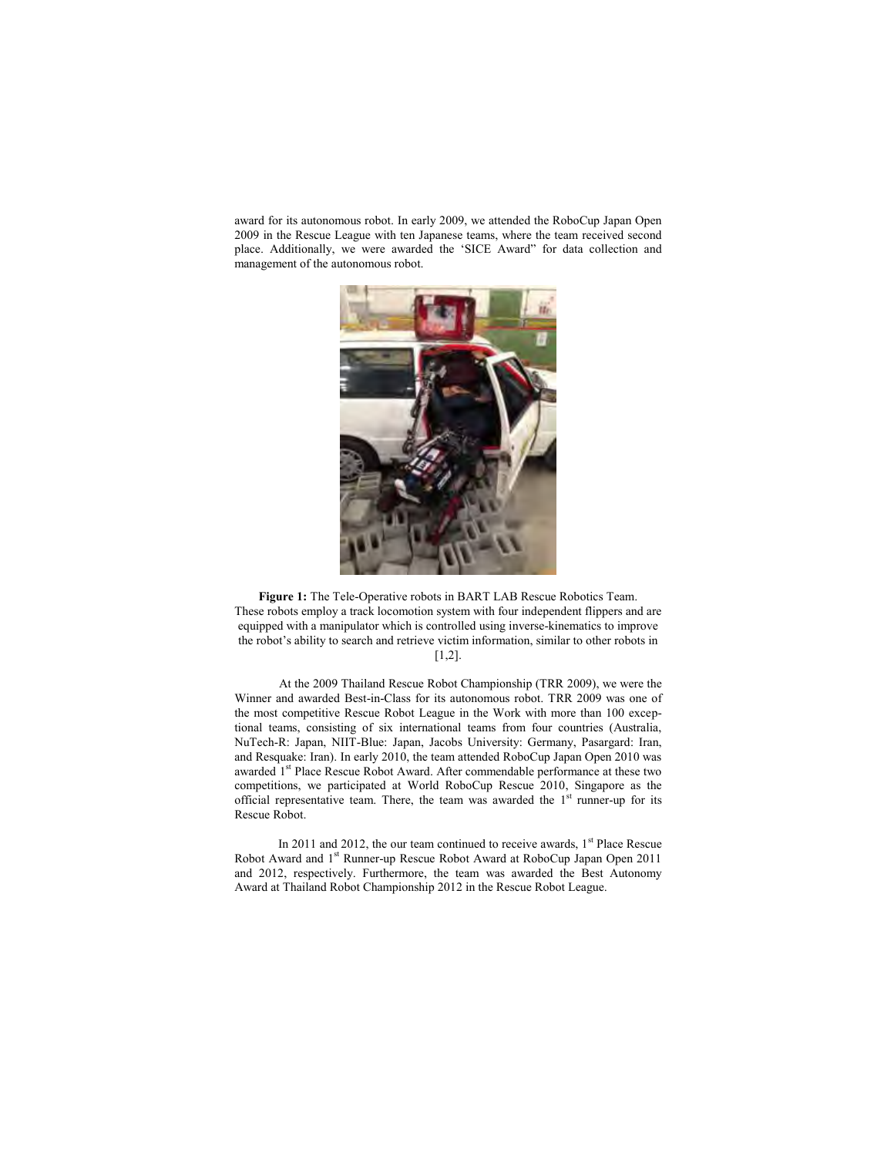award for its autonomous robot. In early 2009, we attended the RoboCup Japan Open 2009 in the Rescue League with ten Japanese teams, where the team received second place. Additionally, we were awarded the 'SICE Award" for data collection and management of the autonomous robot.



**Figure 1:** The Tele-Operative robots in BART LAB Rescue Robotics Team. These robots employ a track locomotion system with four independent flippers and are equipped with a manipulator which is controlled using inverse-kinematics to improve the robot's ability to search and retrieve victim information, similar to other robots in [1,2].

At the 2009 Thailand Rescue Robot Championship (TRR 2009), we were the Winner and awarded Best-in-Class for its autonomous robot. TRR 2009 was one of the most competitive Rescue Robot League in the Work with more than 100 exceptional teams, consisting of six international teams from four countries (Australia, NuTech-R: Japan, NIIT-Blue: Japan, Jacobs University: Germany, Pasargard: Iran, and Resquake: Iran). In early 2010, the team attended RoboCup Japan Open 2010 was awarded 1<sup>st</sup> Place Rescue Robot Award. After commendable performance at these two competitions, we participated at World RoboCup Rescue 2010, Singapore as the official representative team. There, the team was awarded the  $1<sup>st</sup>$  runner-up for its Rescue Robot.

In 2011 and 2012, the our team continued to receive awards,  $1<sup>st</sup>$  Place Rescue Robot Award and 1<sup>st</sup> Runner-up Rescue Robot Award at RoboCup Japan Open 2011 and 2012, respectively. Furthermore, the team was awarded the Best Autonomy Award at Thailand Robot Championship 2012 in the Rescue Robot League.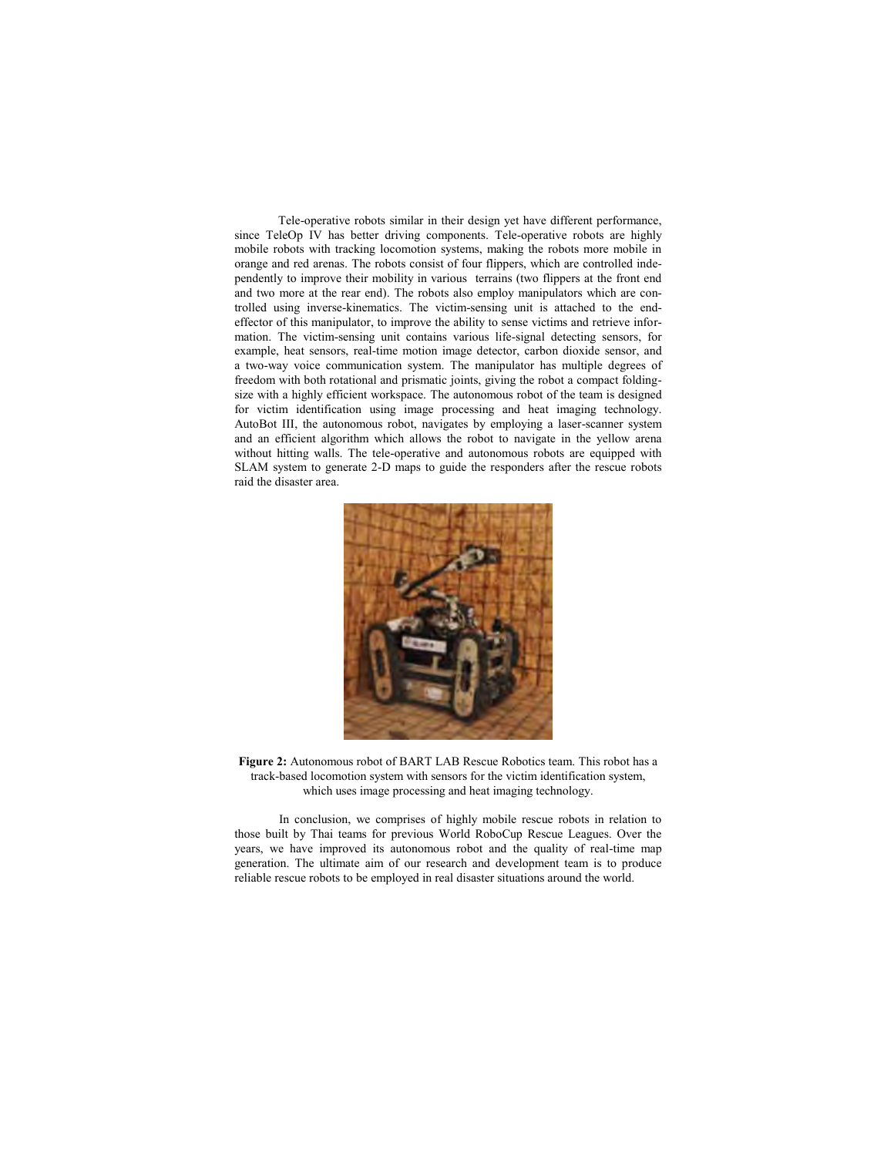Tele-operative robots similar in their design yet have different performance, since TeleOp IV has better driving components. Tele-operative robots are highly mobile robots with tracking locomotion systems, making the robots more mobile in orange and red arenas. The robots consist of four flippers, which are controlled independently to improve their mobility in various terrains (two flippers at the front end and two more at the rear end). The robots also employ manipulators which are controlled using inverse-kinematics. The victim-sensing unit is attached to the endeffector of this manipulator, to improve the ability to sense victims and retrieve information. The victim-sensing unit contains various life-signal detecting sensors, for example, heat sensors, real-time motion image detector, carbon dioxide sensor, and a two-way voice communication system. The manipulator has multiple degrees of freedom with both rotational and prismatic joints, giving the robot a compact foldingsize with a highly efficient workspace. The autonomous robot of the team is designed for victim identification using image processing and heat imaging technology. AutoBot III, the autonomous robot, navigates by employing a laser-scanner system and an efficient algorithm which allows the robot to navigate in the yellow arena without hitting walls. The tele-operative and autonomous robots are equipped with SLAM system to generate 2-D maps to guide the responders after the rescue robots raid the disaster area.



**Figure 2:** Autonomous robot of BART LAB Rescue Robotics team. This robot has a track-based locomotion system with sensors for the victim identification system, which uses image processing and heat imaging technology.

In conclusion, we comprises of highly mobile rescue robots in relation to those built by Thai teams for previous World RoboCup Rescue Leagues. Over the years, we have improved its autonomous robot and the quality of real-time map generation. The ultimate aim of our research and development team is to produce reliable rescue robots to be employed in real disaster situations around the world.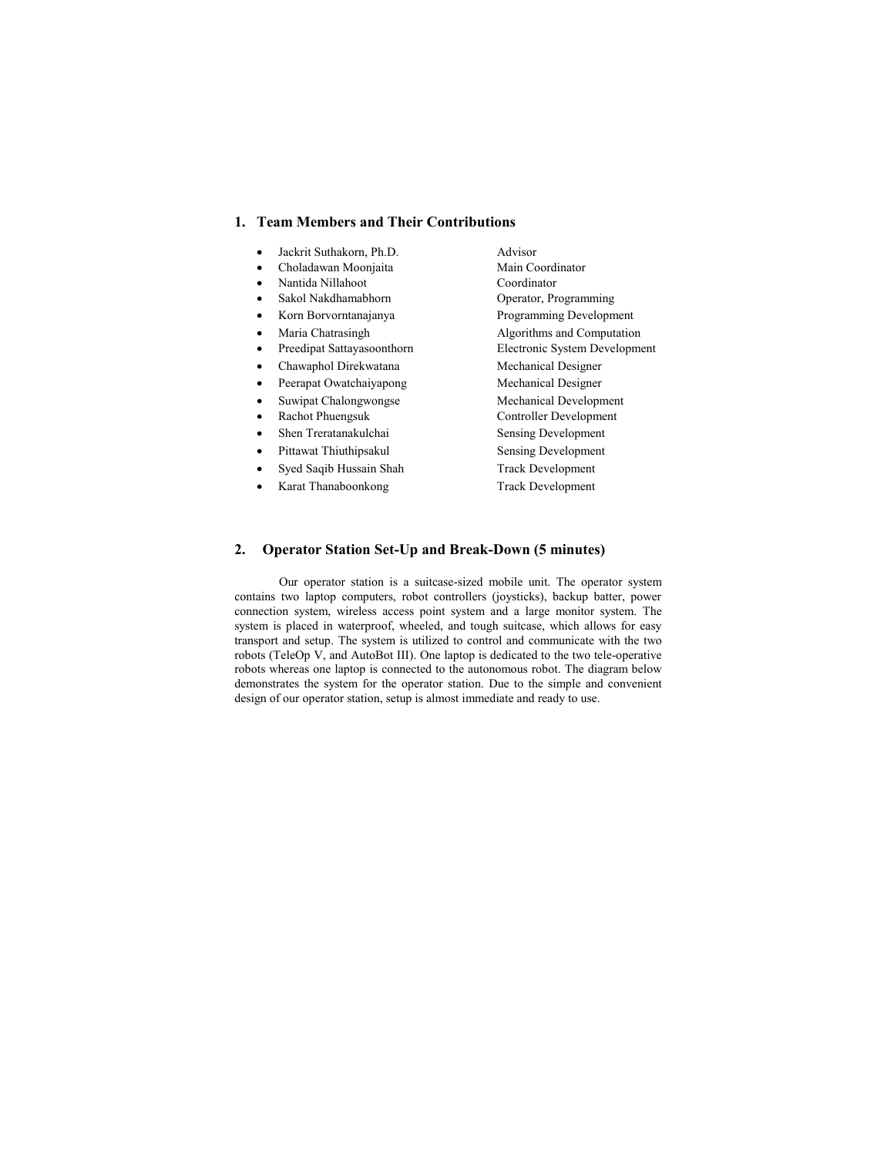#### **1. Team Members and Their Contributions**

- 
- $\bullet$  Choladawan Moonjaita
- 
- 
- 
- 
- 
- 
- 
- 
- 
- 
- 
- Syed Saqib Hussain Shah Track Development
- Karat Thanaboonkong Track Development

x Jackrit Suthakorn, Ph.D. Advisor x Nantida Nillahoot Coordinator • Sakol Nakdhamabhorn Operator, Programming • Korn Borvorntanajanya Programming Development • Maria Chatrasingh Algorithms and Computation • Preedipat Sattayasoonthorn Electronic System Development • Chawaphol Direkwatana Mechanical Designer • Peerapat Owatchaiyapong Mechanical Designer • Suwipat Chalongwongse Mechanical Development • Rachot Phuengsuk Controller Development • Shen Treratanakulchai Sensing Development • Pittawat Thiuthipsakul Sensing Development

#### **2. Operator Station Set-Up and Break-Down (5 minutes)**

Our operator station is a suitcase-sized mobile unit. The operator system contains two laptop computers, robot controllers (joysticks), backup batter, power connection system, wireless access point system and a large monitor system. The system is placed in waterproof, wheeled, and tough suitcase, which allows for easy transport and setup. The system is utilized to control and communicate with the two robots (TeleOp V, and AutoBot III). One laptop is dedicated to the two tele-operative robots whereas one laptop is connected to the autonomous robot. The diagram below demonstrates the system for the operator station. Due to the simple and convenient design of our operator station, setup is almost immediate and ready to use.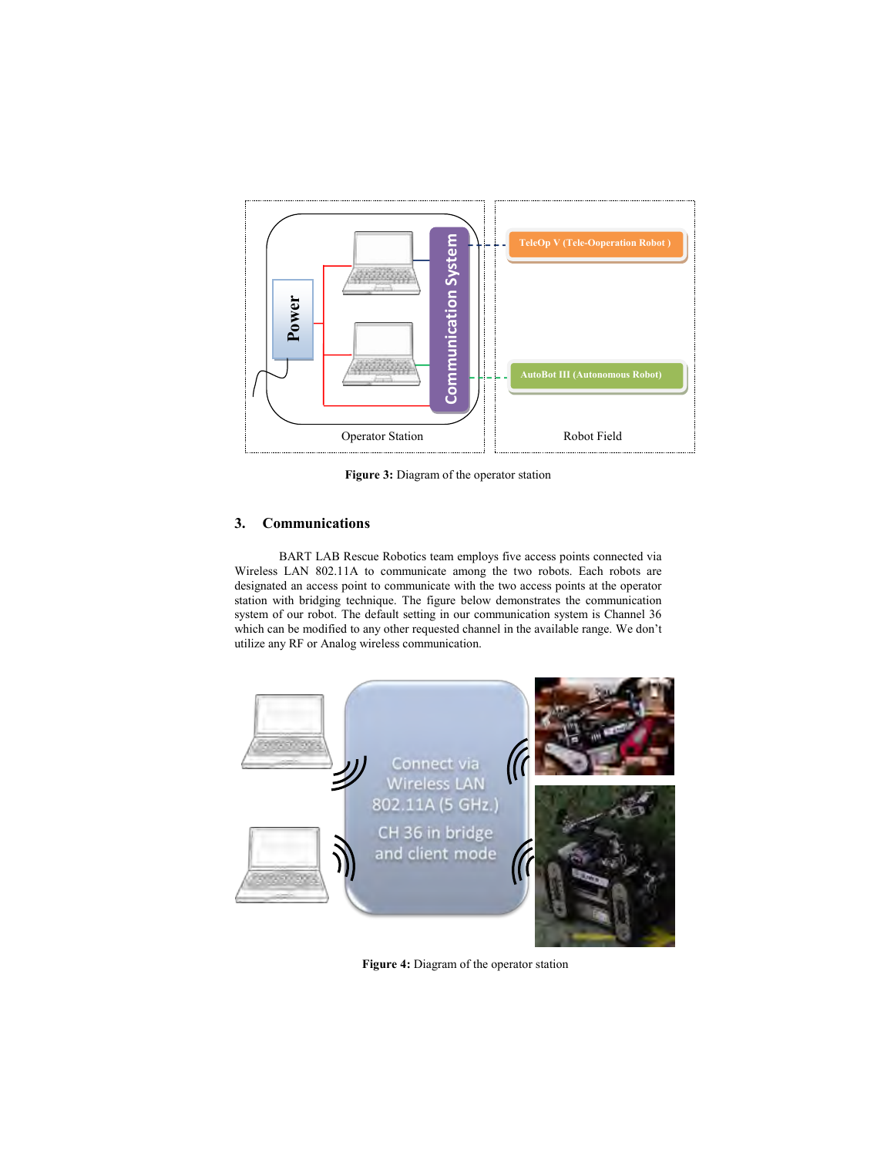

**Figure 3:** Diagram of the operator station

## **3. Communications**

BART LAB Rescue Robotics team employs five access points connected via Wireless LAN 802.11A to communicate among the two robots. Each robots are designated an access point to communicate with the two access points at the operator station with bridging technique. The figure below demonstrates the communication system of our robot. The default setting in our communication system is Channel 36 which can be modified to any other requested channel in the available range. We don't



**Figure 4:** Diagram of the operator station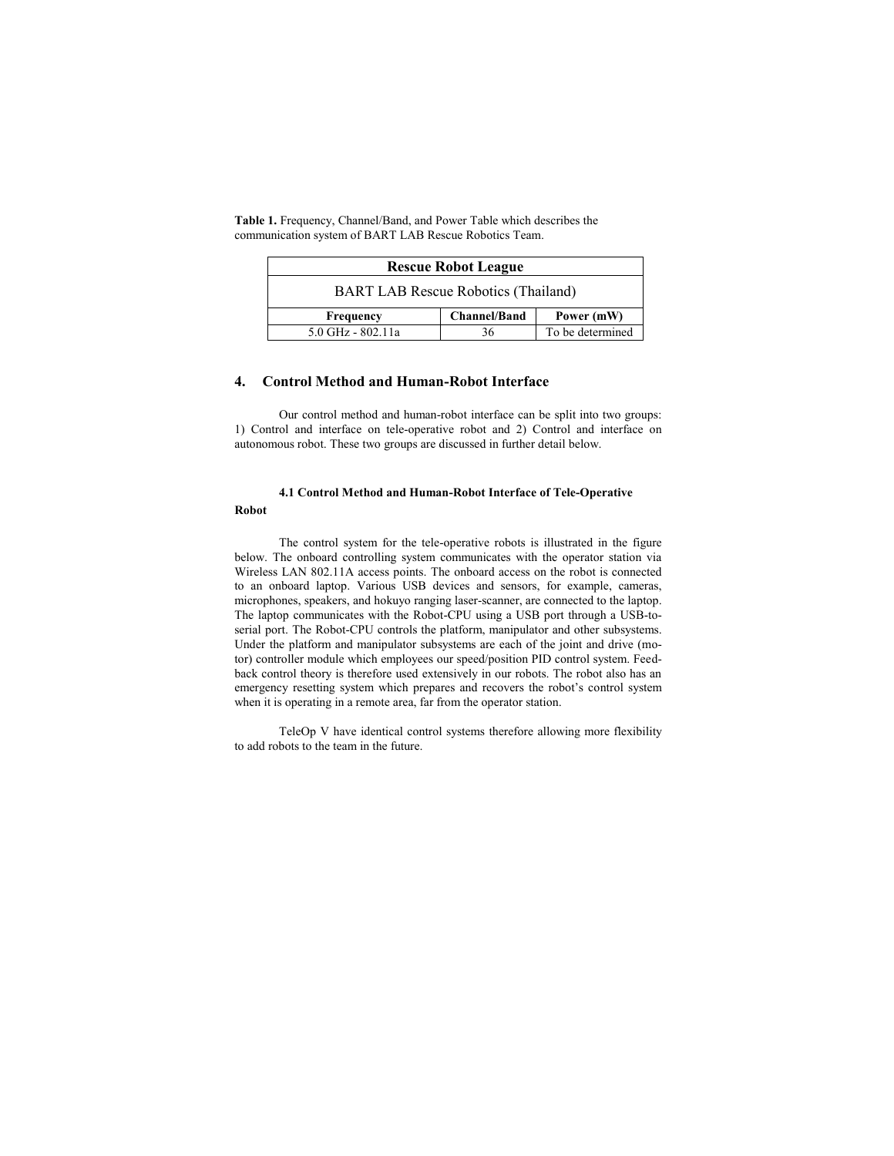| <b>Rescue Robot League</b>                 |                     |                  |  |  |
|--------------------------------------------|---------------------|------------------|--|--|
| <b>BART LAB Rescue Robotics (Thailand)</b> |                     |                  |  |  |
| Frequency                                  | <b>Channel/Band</b> | Power (mW)       |  |  |
| 5.0 GHz - 802.11a                          | 36                  | To be determined |  |  |

**Table 1.** Frequency, Channel/Band, and Power Table which describes the communication system of BART LAB Rescue Robotics Team.

#### **4. Control Method and Human-Robot Interface**

Our control method and human-robot interface can be split into two groups: 1) Control and interface on tele-operative robot and 2) Control and interface on autonomous robot. These two groups are discussed in further detail below.

# **4.1 Control Method and Human-Robot Interface of Tele-Operative**

## **Robot**

The control system for the tele-operative robots is illustrated in the figure below. The onboard controlling system communicates with the operator station via Wireless LAN 802.11A access points. The onboard access on the robot is connected to an onboard laptop. Various USB devices and sensors, for example, cameras, microphones, speakers, and hokuyo ranging laser-scanner, are connected to the laptop. The laptop communicates with the Robot-CPU using a USB port through a USB-toserial port. The Robot-CPU controls the platform, manipulator and other subsystems. Under the platform and manipulator subsystems are each of the joint and drive (motor) controller module which employees our speed/position PID control system. Feedback control theory is therefore used extensively in our robots. The robot also has an emergency resetting system which prepares and recovers the robot's control system when it is operating in a remote area, far from the operator station.

TeleOp V have identical control systems therefore allowing more flexibility to add robots to the team in the future.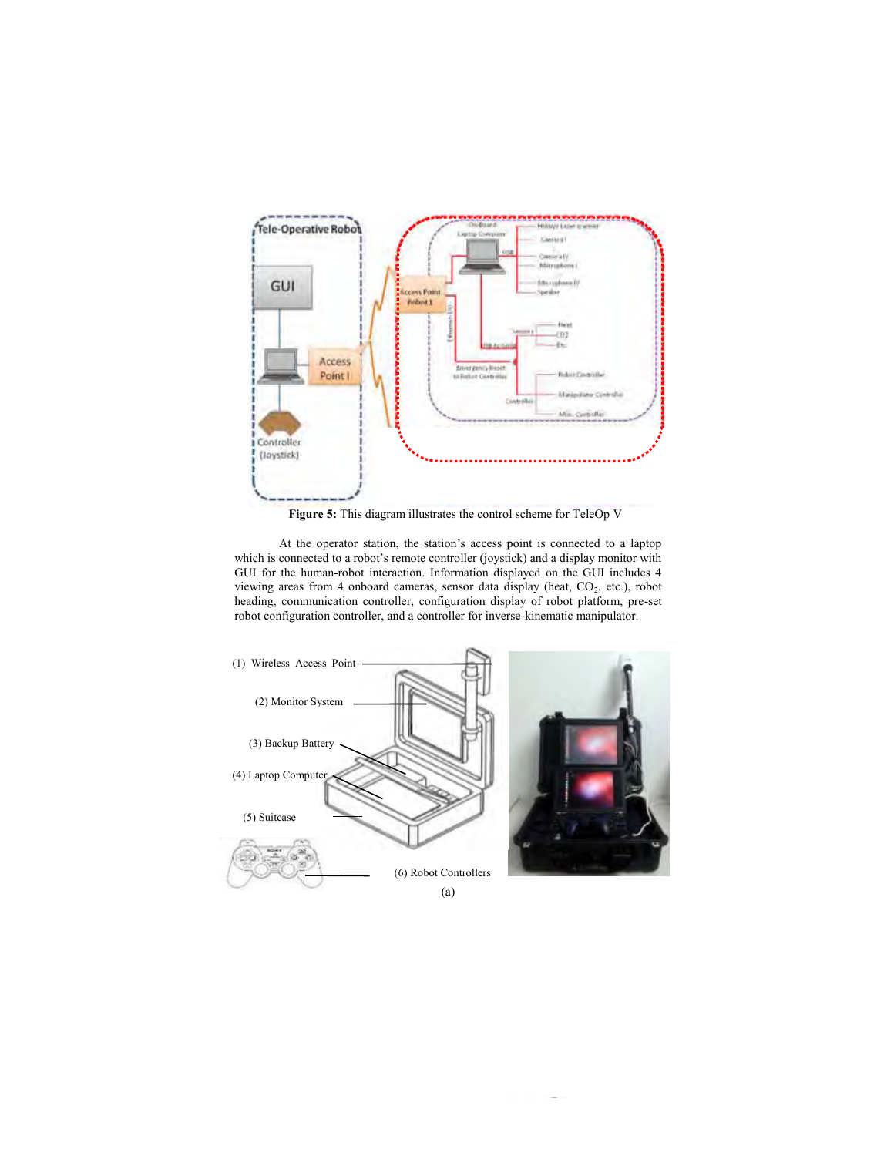

**Figure 5:** This diagram illustrates the control scheme for TeleOp V

At the operator station, the station's access point is connected to a laptop which is connected to a robot's remote controller (joystick) and a display monitor with GUI for the human-robot interaction. Information displayed on the GUI includes 4 viewing areas from 4 onboard cameras, sensor data display (heat, CO<sub>2</sub>, etc.), robot heading, communication controller, configuration display of robot platform, pre-set robot configuration controller, and a controller for inverse-kinematic manipulator.

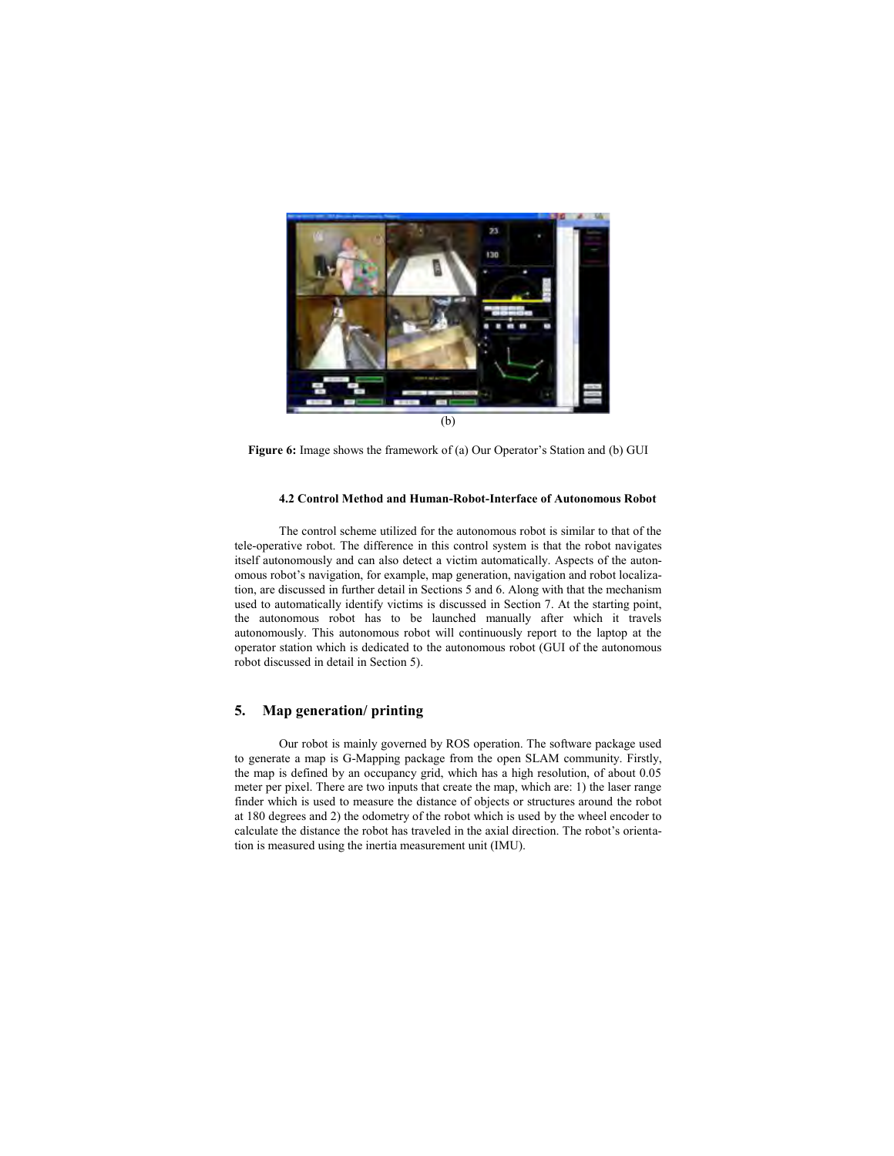

**Figure 6:** Image shows the framework of (a) Our Operator's Station and (b) GUI

#### **4.2 Control Method and Human-Robot-Interface of Autonomous Robot**

The control scheme utilized for the autonomous robot is similar to that of the tele-operative robot. The difference in this control system is that the robot navigates itself autonomously and can also detect a victim automatically. Aspects of the autonomous robot's navigation, for example, map generation, navigation and robot localization, are discussed in further detail in Sections 5 and 6. Along with that the mechanism used to automatically identify victims is discussed in Section 7. At the starting point, the autonomous robot has to be launched manually after which it travels autonomously. This autonomous robot will continuously report to the laptop at the operator station which is dedicated to the autonomous robot (GUI of the autonomous robot discussed in detail in Section 5).

### **5. Map generation/ printing**

Our robot is mainly governed by ROS operation. The software package used to generate a map is G-Mapping package from the open SLAM community. Firstly, the map is defined by an occupancy grid, which has a high resolution, of about 0.05 meter per pixel. There are two inputs that create the map, which are: 1) the laser range finder which is used to measure the distance of objects or structures around the robot at 180 degrees and 2) the odometry of the robot which is used by the wheel encoder to calculate the distance the robot has traveled in the axial direction. The robot's orientation is measured using the inertia measurement unit (IMU).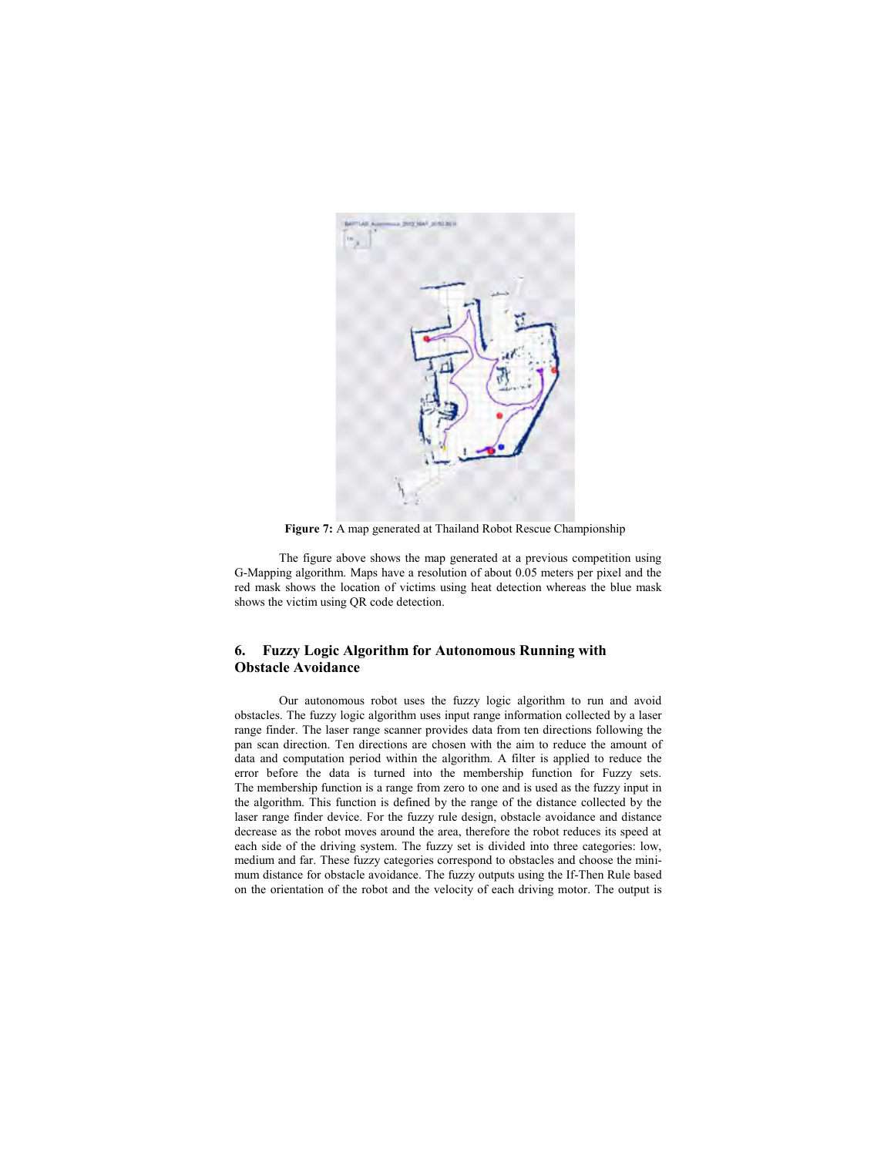

**Figure 7:** A map generated at Thailand Robot Rescue Championship

The figure above shows the map generated at a previous competition using G-Mapping algorithm. Maps have a resolution of about 0.05 meters per pixel and the red mask shows the location of victims using heat detection whereas the blue mask shows the victim using QR code detection.

## **6. Fuzzy Logic Algorithm for Autonomous Running with Obstacle Avoidance**

Our autonomous robot uses the fuzzy logic algorithm to run and avoid obstacles. The fuzzy logic algorithm uses input range information collected by a laser range finder. The laser range scanner provides data from ten directions following the pan scan direction. Ten directions are chosen with the aim to reduce the amount of data and computation period within the algorithm. A filter is applied to reduce the error before the data is turned into the membership function for Fuzzy sets. The membership function is a range from zero to one and is used as the fuzzy input in the algorithm. This function is defined by the range of the distance collected by the laser range finder device. For the fuzzy rule design, obstacle avoidance and distance decrease as the robot moves around the area, therefore the robot reduces its speed at each side of the driving system. The fuzzy set is divided into three categories: low, medium and far. These fuzzy categories correspond to obstacles and choose the minimum distance for obstacle avoidance. The fuzzy outputs using the If-Then Rule based on the orientation of the robot and the velocity of each driving motor. The output is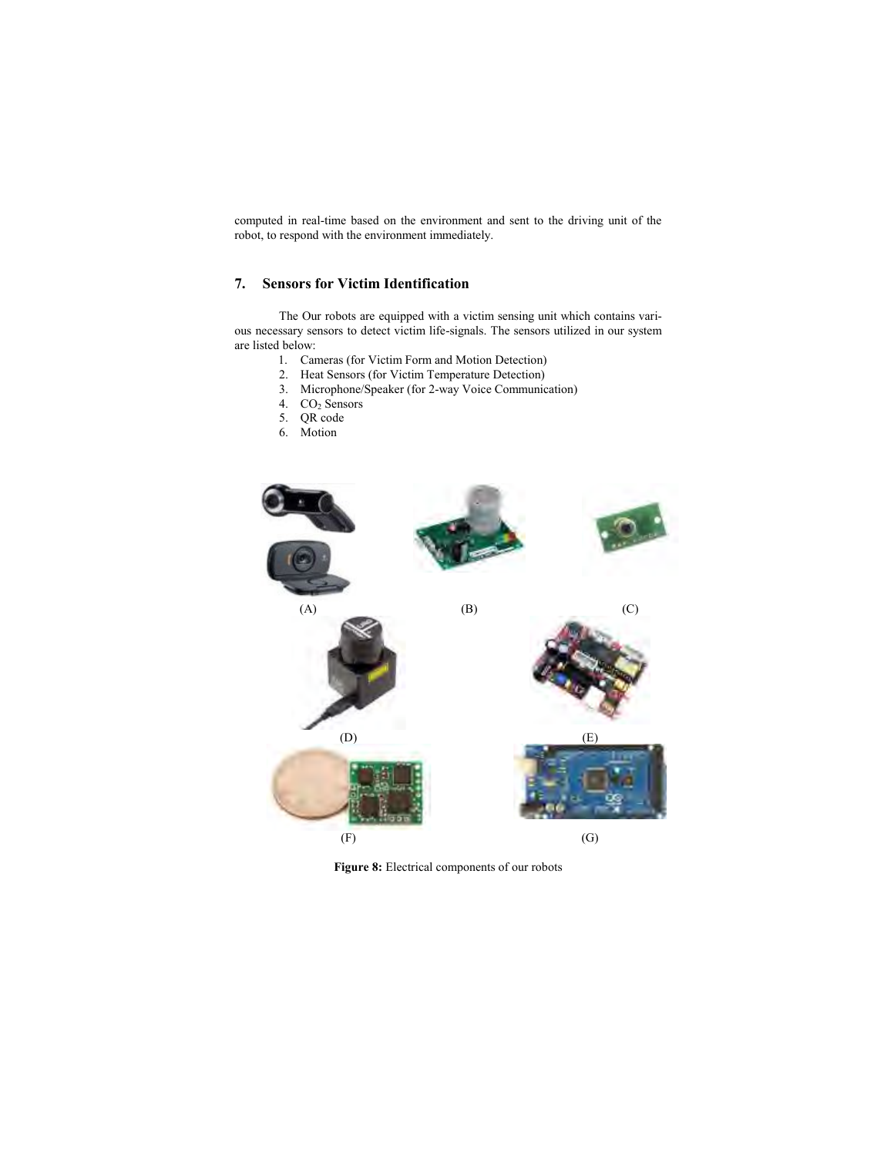computed in real-time based on the environment and sent to the driving unit of the robot, to respond with the environment immediately.

# **7. Sensors for Victim Identification**

The Our robots are equipped with a victim sensing unit which contains various necessary sensors to detect victim life-signals. The sensors utilized in our system are listed below:

- 1. Cameras (for Victim Form and Motion Detection)
- 2. Heat Sensors (for Victim Temperature Detection)
- 3. Microphone/Speaker (for 2-way Voice Communication)
- 4. CO<sub>2</sub> Sensors
- 5. QR code
- 6. Motion



**Figure 8:** Electrical components of our robots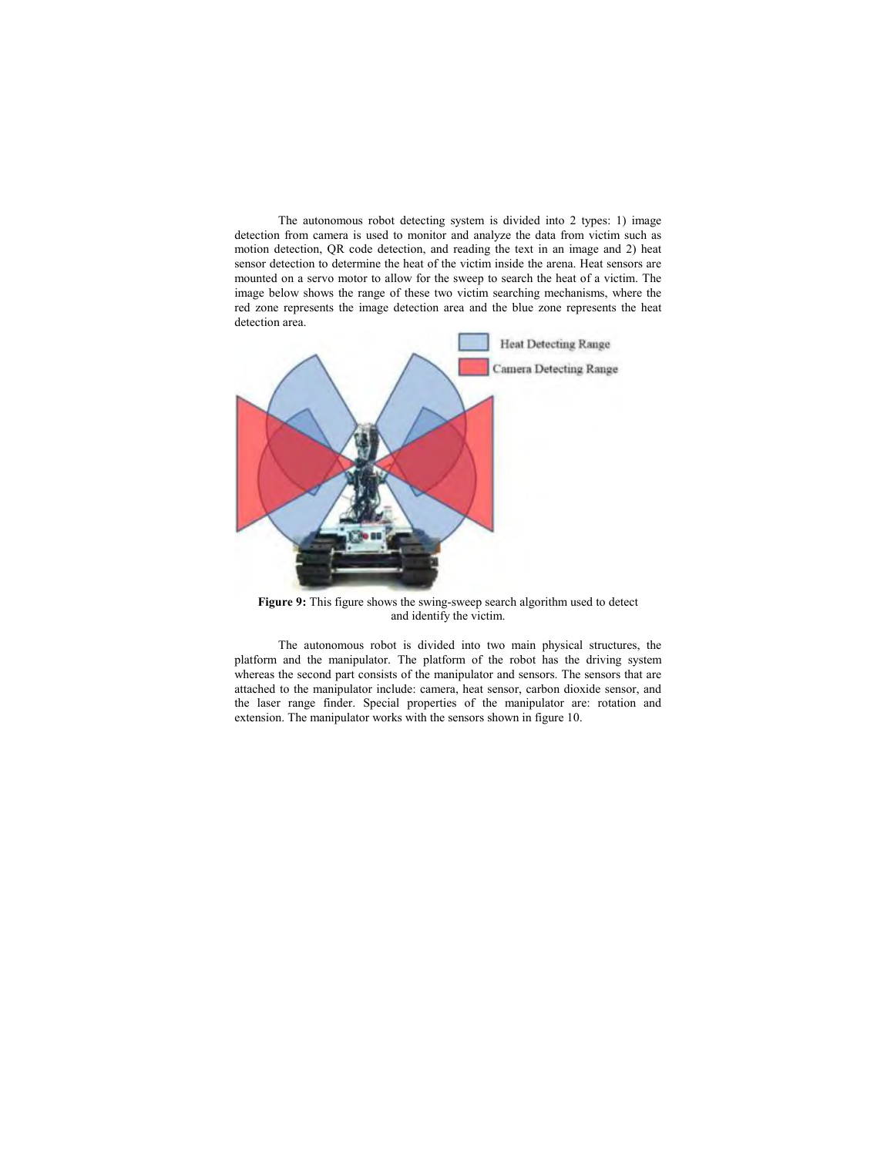The autonomous robot detecting system is divided into 2 types: 1) image detection from camera is used to monitor and analyze the data from victim such as motion detection, QR code detection, and reading the text in an image and 2) heat sensor detection to determine the heat of the victim inside the arena. Heat sensors are mounted on a servo motor to allow for the sweep to search the heat of a victim. The image below shows the range of these two victim searching mechanisms, where the red zone represents the image detection area and the blue zone represents the heat detection area.



**Figure 9:** This figure shows the swing-sweep search algorithm used to detect and identify the victim.

The autonomous robot is divided into two main physical structures, the platform and the manipulator. The platform of the robot has the driving system whereas the second part consists of the manipulator and sensors. The sensors that are attached to the manipulator include: camera, heat sensor, carbon dioxide sensor, and the laser range finder. Special properties of the manipulator are: rotation and extension. The manipulator works with the sensors shown in figure 10.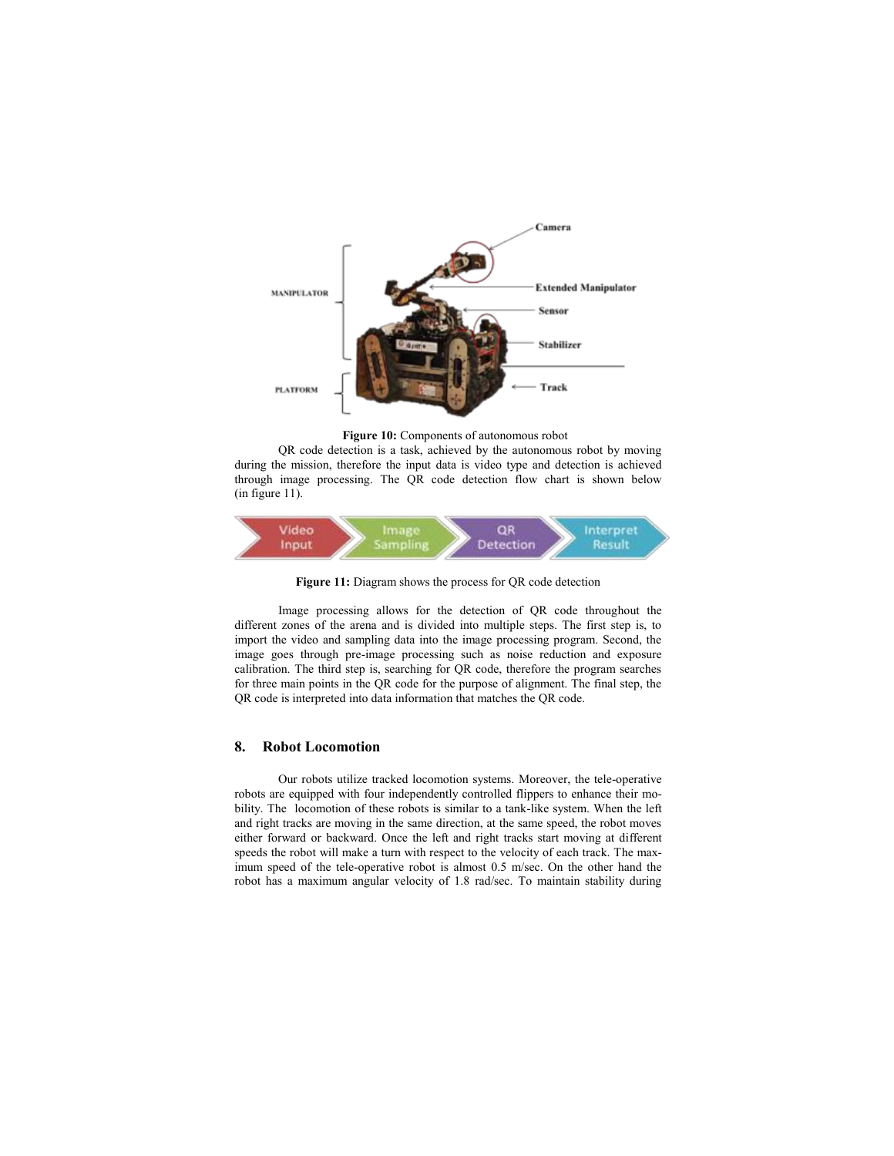

**Figure 10:** Components of autonomous robot

QR code detection is a task, achieved by the autonomous robot by moving during the mission, therefore the input data is video type and detection is achieved through image processing. The QR code detection flow chart is shown below (in figure 11).



**Figure 11:** Diagram shows the process for QR code detection

Image processing allows for the detection of QR code throughout the different zones of the arena and is divided into multiple steps. The first step is, to import the video and sampling data into the image processing program. Second, the image goes through pre-image processing such as noise reduction and exposure calibration. The third step is, searching for QR code, therefore the program searches for three main points in the QR code for the purpose of alignment. The final step, the QR code is interpreted into data information that matches the QR code.

#### **8. Robot Locomotion**

Our robots utilize tracked locomotion systems. Moreover, the tele-operative robots are equipped with four independently controlled flippers to enhance their mobility. The locomotion of these robots is similar to a tank-like system. When the left and right tracks are moving in the same direction, at the same speed, the robot moves either forward or backward. Once the left and right tracks start moving at different speeds the robot will make a turn with respect to the velocity of each track. The maximum speed of the tele-operative robot is almost 0.5 m/sec. On the other hand the robot has a maximum angular velocity of 1.8 rad/sec. To maintain stability during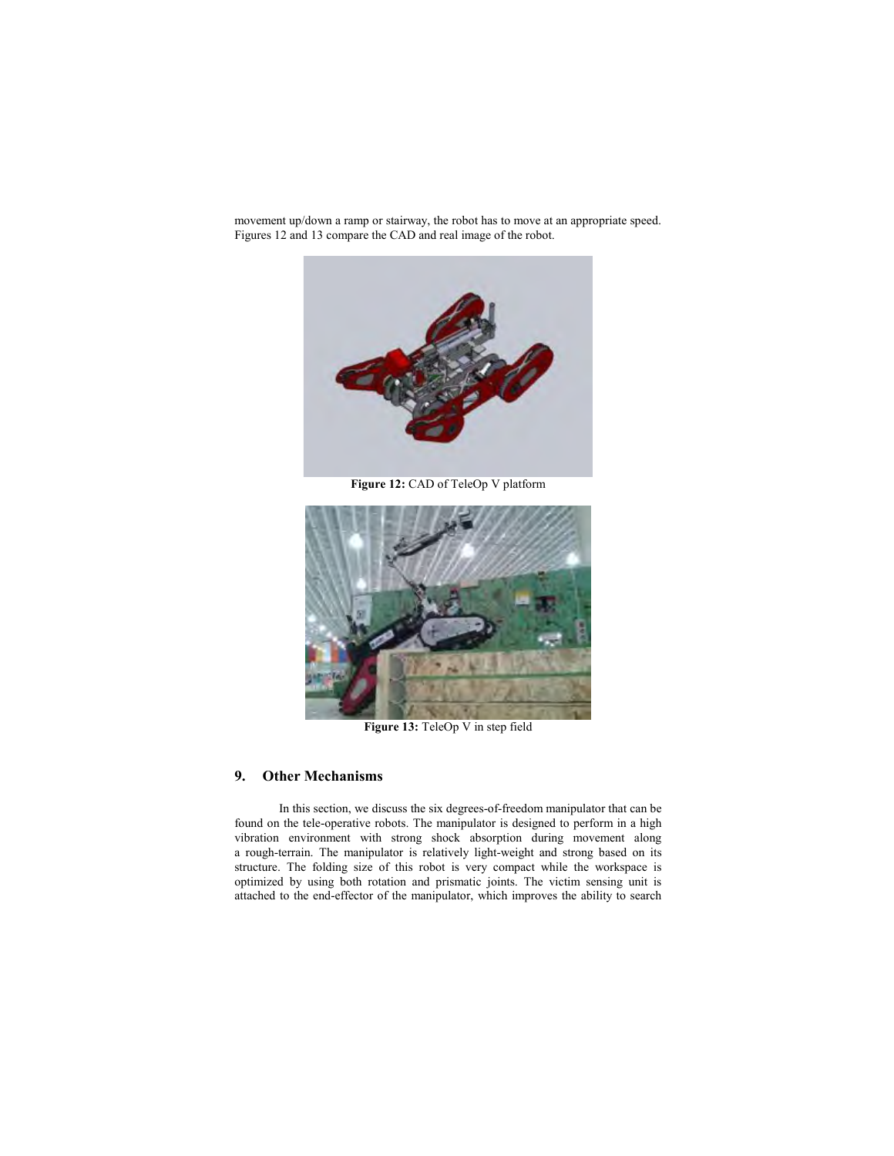movement up/down a ramp or stairway, the robot has to move at an appropriate speed. Figures 12 and 13 compare the CAD and real image of the robot.



**Figure 12:** CAD of TeleOp V platform



**Figure 13:** TeleOp V in step field

#### **9. Other Mechanisms**

In this section, we discuss the six degrees-of-freedom manipulator that can be found on the tele-operative robots. The manipulator is designed to perform in a high vibration environment with strong shock absorption during movement along a rough-terrain. The manipulator is relatively light-weight and strong based on its structure. The folding size of this robot is very compact while the workspace is optimized by using both rotation and prismatic joints. The victim sensing unit is attached to the end-effector of the manipulator, which improves the ability to search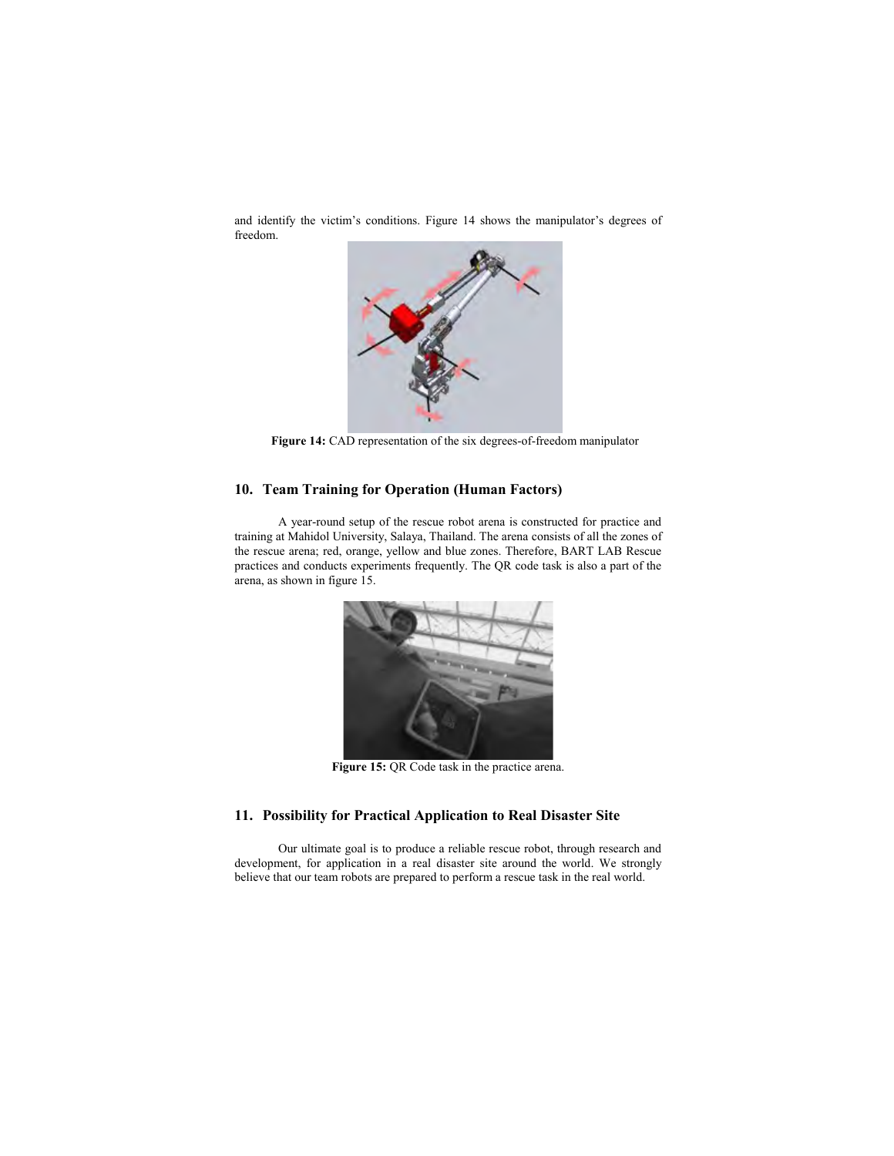and identify the victim's conditions. Figure 14 shows the manipulator's degrees of freedom.



**Figure 14:** CAD representation of the six degrees-of-freedom manipulator

## **10. Team Training for Operation (Human Factors)**

A year-round setup of the rescue robot arena is constructed for practice and training at Mahidol University, Salaya, Thailand. The arena consists of all the zones of the rescue arena; red, orange, yellow and blue zones. Therefore, BART LAB Rescue practices and conducts experiments frequently. The QR code task is also a part of the arena, as shown in figure 15.



**Figure 15:** QR Code task in the practice arena.

# **11. Possibility for Practical Application to Real Disaster Site**

Our ultimate goal is to produce a reliable rescue robot, through research and development, for application in a real disaster site around the world. We strongly believe that our team robots are prepared to perform a rescue task in the real world.